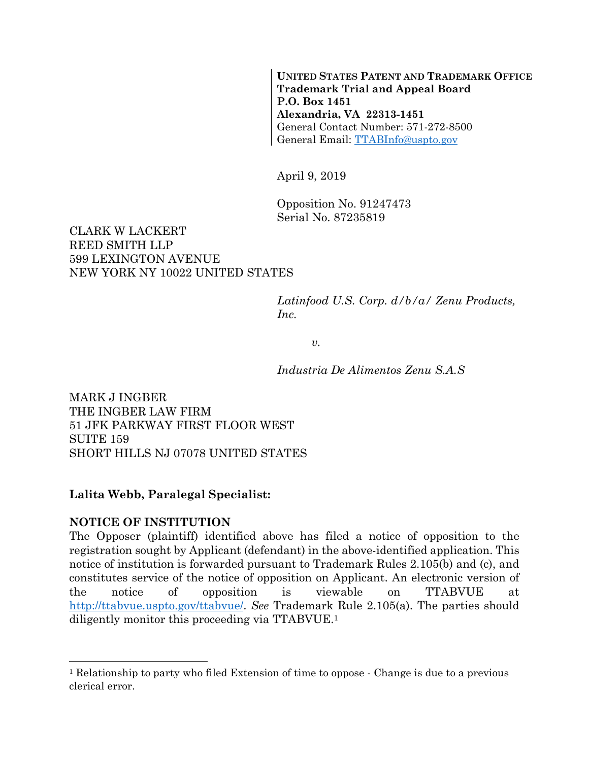**UNITED STATES PATENT AND TRADEMARK OFFICE Trademark Trial and Appeal Board P.O. Box 1451 Alexandria, VA 22313-1451**  General Contact Number: 571-272-8500 General Email: TTABInfo@uspto.gov

April 9, 2019

Opposition No. 91247473 Serial No. 87235819

### CLARK W LACKERT REED SMITH LLP 599 LEXINGTON AVENUE NEW YORK NY 10022 UNITED STATES

*Latinfood U.S. Corp. d/b/a/ Zenu Products, Inc.* 

*v.* 

*Industria De Alimentos Zenu S.A.S* 

MARK J INGBER THE INGBER LAW FIRM 51 JFK PARKWAY FIRST FLOOR WEST **SUITE 159** SHORT HILLS NJ 07078 UNITED STATES

### **Lalita Webb, Paralegal Specialist:**

### **NOTICE OF INSTITUTION**

 $\overline{a}$ 

The Opposer (plaintiff) identified above has filed a notice of opposition to the registration sought by Applicant (defendant) in the above-identified application. This notice of institution is forwarded pursuant to Trademark Rules 2.105(b) and (c), and constitutes service of the notice of opposition on Applicant. An electronic version of the notice of opposition is viewable on TTABVUE at http://ttabvue.uspto.gov/ttabvue/. *See* Trademark Rule 2.105(a). The parties should diligently monitor this proceeding via TTABVUE.1

<sup>1</sup> Relationship to party who filed Extension of time to oppose - Change is due to a previous clerical error.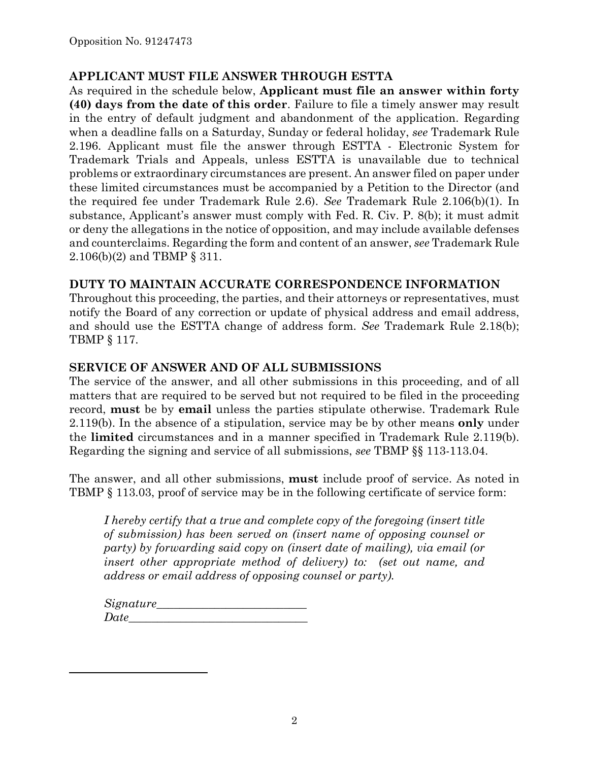## **APPLICANT MUST FILE ANSWER THROUGH ESTTA**

As required in the schedule below, **Applicant must file an answer within forty (40) days from the date of this order**. Failure to file a timely answer may result in the entry of default judgment and abandonment of the application. Regarding when a deadline falls on a Saturday, Sunday or federal holiday, *see* Trademark Rule 2.196. Applicant must file the answer through ESTTA - Electronic System for Trademark Trials and Appeals, unless ESTTA is unavailable due to technical problems or extraordinary circumstances are present. An answer filed on paper under these limited circumstances must be accompanied by a Petition to the Director (and the required fee under Trademark Rule 2.6). *See* Trademark Rule 2.106(b)(1). In substance, Applicant's answer must comply with Fed. R. Civ. P. 8(b); it must admit or deny the allegations in the notice of opposition, and may include available defenses and counterclaims. Regarding the form and content of an answer, *see* Trademark Rule 2.106(b)(2) and TBMP § 311.

## **DUTY TO MAINTAIN ACCURATE CORRESPONDENCE INFORMATION**

Throughout this proceeding, the parties, and their attorneys or representatives, must notify the Board of any correction or update of physical address and email address, and should use the ESTTA change of address form. *See* Trademark Rule 2.18(b); TBMP § 117.

### **SERVICE OF ANSWER AND OF ALL SUBMISSIONS**

The service of the answer, and all other submissions in this proceeding, and of all matters that are required to be served but not required to be filed in the proceeding record, **must** be by **email** unless the parties stipulate otherwise. Trademark Rule 2.119(b). In the absence of a stipulation, service may be by other means **only** under the **limited** circumstances and in a manner specified in Trademark Rule 2.119(b). Regarding the signing and service of all submissions, *see* TBMP §§ 113-113.04.

The answer, and all other submissions, **must** include proof of service. As noted in TBMP § 113.03, proof of service may be in the following certificate of service form:

*I hereby certify that a true and complete copy of the foregoing (insert title of submission) has been served on (insert name of opposing counsel or party) by forwarding said copy on (insert date of mailing), via email (or insert other appropriate method of delivery) to: (set out name, and address or email address of opposing counsel or party).* 

*Signature\_\_\_\_\_\_\_\_\_\_\_\_\_\_\_\_\_\_\_\_\_\_\_\_\_\_ Date\_\_\_\_\_\_\_\_\_\_\_\_\_\_\_\_\_\_\_\_\_\_\_\_\_\_\_\_\_\_\_* 

1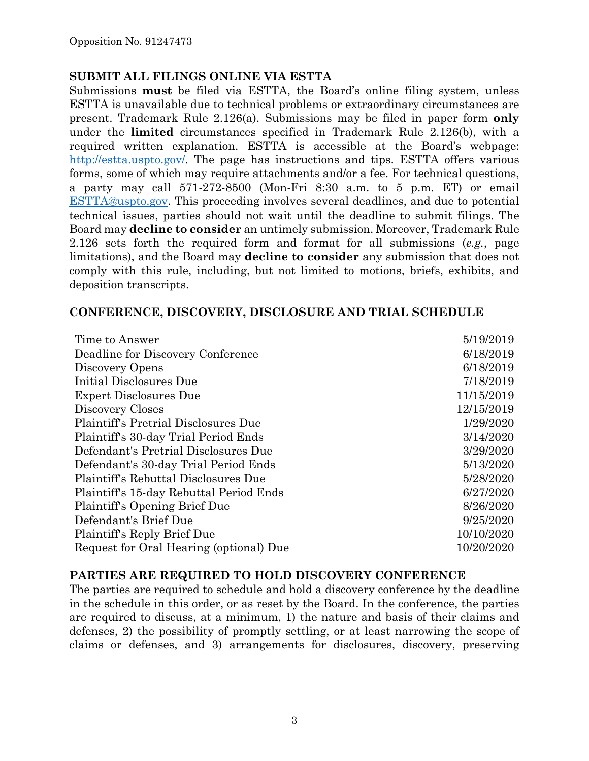### **SUBMIT ALL FILINGS ONLINE VIA ESTTA**

Submissions **must** be filed via ESTTA, the Board's online filing system, unless ESTTA is unavailable due to technical problems or extraordinary circumstances are present. Trademark Rule 2.126(a). Submissions may be filed in paper form **only** under the **limited** circumstances specified in Trademark Rule 2.126(b), with a required written explanation. ESTTA is accessible at the Board's webpage: http://estta.uspto.gov/. The page has instructions and tips. ESTTA offers various forms, some of which may require attachments and/or a fee. For technical questions, a party may call 571-272-8500 (Mon-Fri 8:30 a.m. to 5 p.m. ET) or email ESTTA@uspto.gov. This proceeding involves several deadlines, and due to potential technical issues, parties should not wait until the deadline to submit filings. The Board may **decline to consider** an untimely submission. Moreover, Trademark Rule 2.126 sets forth the required form and format for all submissions (*e.g.*, page limitations), and the Board may **decline to consider** any submission that does not comply with this rule, including, but not limited to motions, briefs, exhibits, and deposition transcripts.

### **CONFERENCE, DISCOVERY, DISCLOSURE AND TRIAL SCHEDULE**

| 5/19/2019  |
|------------|
| 6/18/2019  |
| 6/18/2019  |
| 7/18/2019  |
| 11/15/2019 |
| 12/15/2019 |
| 1/29/2020  |
| 3/14/2020  |
| 3/29/2020  |
| 5/13/2020  |
| 5/28/2020  |
| 6/27/2020  |
| 8/26/2020  |
| 9/25/2020  |
| 10/10/2020 |
| 10/20/2020 |
|            |

### **PARTIES ARE REQUIRED TO HOLD DISCOVERY CONFERENCE**

The parties are required to schedule and hold a discovery conference by the deadline in the schedule in this order, or as reset by the Board. In the conference, the parties are required to discuss, at a minimum, 1) the nature and basis of their claims and defenses, 2) the possibility of promptly settling, or at least narrowing the scope of claims or defenses, and 3) arrangements for disclosures, discovery, preserving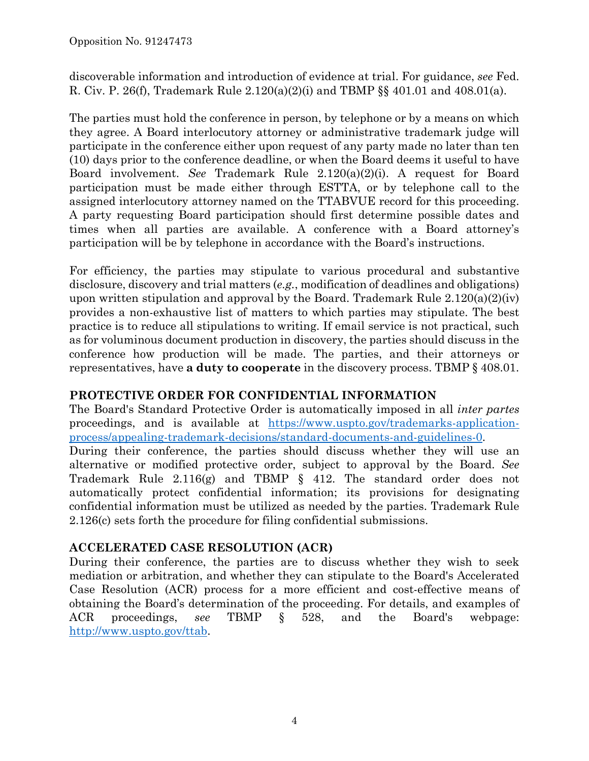discoverable information and introduction of evidence at trial. For guidance, *see* Fed. R. Civ. P. 26(f), Trademark Rule 2.120(a)(2)(i) and TBMP §§ 401.01 and 408.01(a).

The parties must hold the conference in person, by telephone or by a means on which they agree. A Board interlocutory attorney or administrative trademark judge will participate in the conference either upon request of any party made no later than ten (10) days prior to the conference deadline, or when the Board deems it useful to have Board involvement. *See* Trademark Rule 2.120(a)(2)(i). A request for Board participation must be made either through ESTTA, or by telephone call to the assigned interlocutory attorney named on the TTABVUE record for this proceeding. A party requesting Board participation should first determine possible dates and times when all parties are available. A conference with a Board attorney's participation will be by telephone in accordance with the Board's instructions.

For efficiency, the parties may stipulate to various procedural and substantive disclosure, discovery and trial matters (*e.g.*, modification of deadlines and obligations) upon written stipulation and approval by the Board. Trademark Rule  $2.120(a)(2)(iv)$ provides a non-exhaustive list of matters to which parties may stipulate. The best practice is to reduce all stipulations to writing. If email service is not practical, such as for voluminous document production in discovery, the parties should discuss in the conference how production will be made. The parties, and their attorneys or representatives, have **a duty to cooperate** in the discovery process. TBMP § 408.01.

# **PROTECTIVE ORDER FOR CONFIDENTIAL INFORMATION**

The Board's Standard Protective Order is automatically imposed in all *inter partes* proceedings, and is available at https://www.uspto.gov/trademarks-applicationprocess/appealing-trademark-decisions/standard-documents-and-guidelines-0.

During their conference, the parties should discuss whether they will use an alternative or modified protective order, subject to approval by the Board. *See* Trademark Rule 2.116(g) and TBMP § 412. The standard order does not automatically protect confidential information; its provisions for designating confidential information must be utilized as needed by the parties. Trademark Rule 2.126(c) sets forth the procedure for filing confidential submissions.

# **ACCELERATED CASE RESOLUTION (ACR)**

During their conference, the parties are to discuss whether they wish to seek mediation or arbitration, and whether they can stipulate to the Board's Accelerated Case Resolution (ACR) process for a more efficient and cost-effective means of obtaining the Board's determination of the proceeding. For details, and examples of ACR proceedings, *see* TBMP § 528, and the Board's webpage: http://www.uspto.gov/ttab.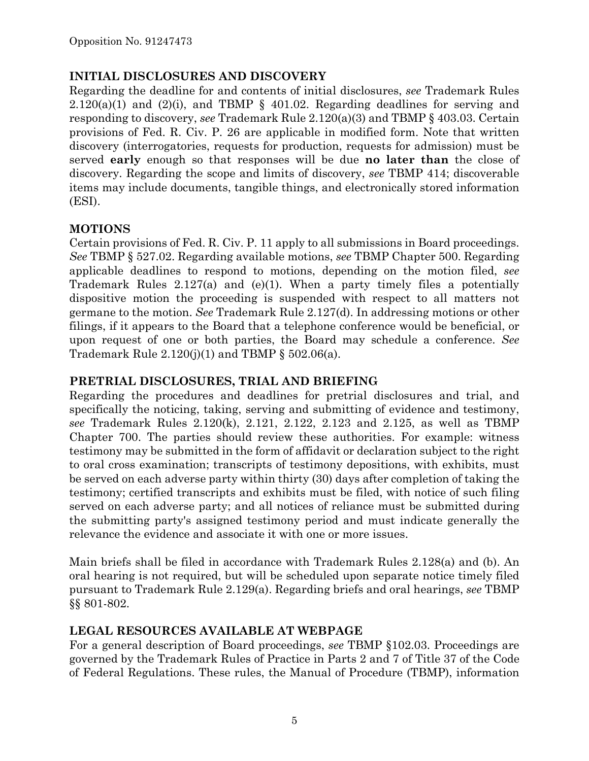## **INITIAL DISCLOSURES AND DISCOVERY**

Regarding the deadline for and contents of initial disclosures, *see* Trademark Rules  $2.120(a)(1)$  and  $(2)(i)$ , and TBMP § 401.02. Regarding deadlines for serving and responding to discovery, *see* Trademark Rule 2.120(a)(3) and TBMP § 403.03. Certain provisions of Fed. R. Civ. P. 26 are applicable in modified form. Note that written discovery (interrogatories, requests for production, requests for admission) must be served **early** enough so that responses will be due **no later than** the close of discovery. Regarding the scope and limits of discovery, *see* TBMP 414; discoverable items may include documents, tangible things, and electronically stored information (ESI).

### **MOTIONS**

Certain provisions of Fed. R. Civ. P. 11 apply to all submissions in Board proceedings. *See* TBMP § 527.02. Regarding available motions, *see* TBMP Chapter 500. Regarding applicable deadlines to respond to motions, depending on the motion filed, *see* Trademark Rules 2.127(a) and (e)(1). When a party timely files a potentially dispositive motion the proceeding is suspended with respect to all matters not germane to the motion. *See* Trademark Rule 2.127(d). In addressing motions or other filings, if it appears to the Board that a telephone conference would be beneficial, or upon request of one or both parties, the Board may schedule a conference. *See* Trademark Rule  $2.120(j)(1)$  and TBMP §  $502.06(a)$ .

## **PRETRIAL DISCLOSURES, TRIAL AND BRIEFING**

Regarding the procedures and deadlines for pretrial disclosures and trial, and specifically the noticing, taking, serving and submitting of evidence and testimony, *see* Trademark Rules 2.120(k), 2.121, 2.122, 2.123 and 2.125, as well as TBMP Chapter 700. The parties should review these authorities. For example: witness testimony may be submitted in the form of affidavit or declaration subject to the right to oral cross examination; transcripts of testimony depositions, with exhibits, must be served on each adverse party within thirty (30) days after completion of taking the testimony; certified transcripts and exhibits must be filed, with notice of such filing served on each adverse party; and all notices of reliance must be submitted during the submitting party's assigned testimony period and must indicate generally the relevance the evidence and associate it with one or more issues.

Main briefs shall be filed in accordance with Trademark Rules 2.128(a) and (b). An oral hearing is not required, but will be scheduled upon separate notice timely filed pursuant to Trademark Rule 2.129(a). Regarding briefs and oral hearings, *see* TBMP §§ 801-802.

# **LEGAL RESOURCES AVAILABLE AT WEBPAGE**

For a general description of Board proceedings, *see* TBMP §102.03. Proceedings are governed by the Trademark Rules of Practice in Parts 2 and 7 of Title 37 of the Code of Federal Regulations. These rules, the Manual of Procedure (TBMP), information